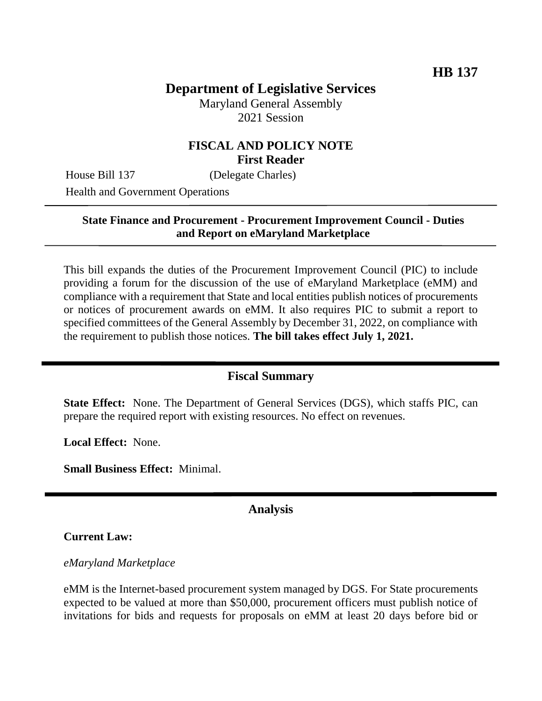# **Department of Legislative Services**

Maryland General Assembly 2021 Session

## **FISCAL AND POLICY NOTE First Reader**

House Bill 137 (Delegate Charles)

Health and Government Operations

### **State Finance and Procurement - Procurement Improvement Council - Duties and Report on eMaryland Marketplace**

This bill expands the duties of the Procurement Improvement Council (PIC) to include providing a forum for the discussion of the use of eMaryland Marketplace (eMM) and compliance with a requirement that State and local entities publish notices of procurements or notices of procurement awards on eMM. It also requires PIC to submit a report to specified committees of the General Assembly by December 31, 2022, on compliance with the requirement to publish those notices. **The bill takes effect July 1, 2021.**

## **Fiscal Summary**

**State Effect:** None. The Department of General Services (DGS), which staffs PIC, can prepare the required report with existing resources. No effect on revenues.

**Local Effect:** None.

**Small Business Effect:** Minimal.

## **Analysis**

### **Current Law:**

### *eMaryland Marketplace*

eMM is the Internet-based procurement system managed by DGS. For State procurements expected to be valued at more than \$50,000, procurement officers must publish notice of invitations for bids and requests for proposals on eMM at least 20 days before bid or